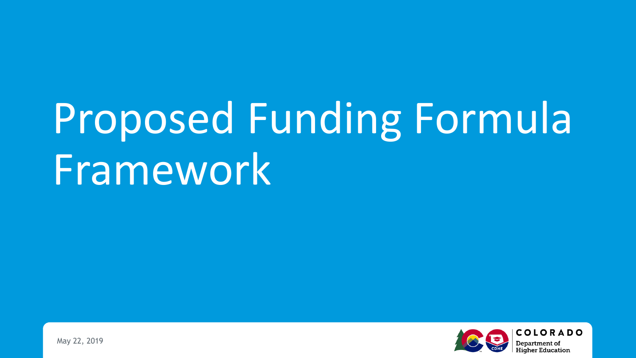## Proposed Funding Formula Framework

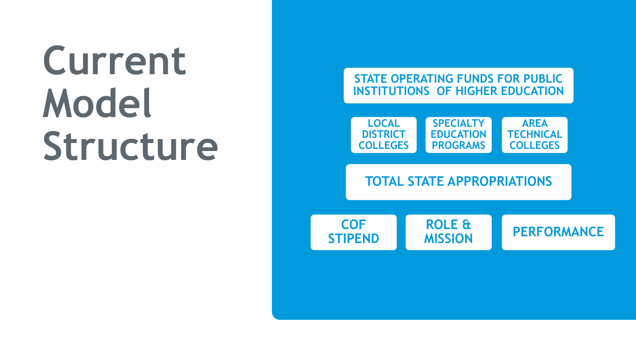### **Current Model Structure**

#### **STATE OPERATING FUNDS FOR PUBLIC INSTITUTIONS OF HIGHER EDUCATION**



#### **TOTAL STATE APPROPRIATIONS**

**COF STIPEND**  **ROLE &** 

**MISSION PERFORMANCE**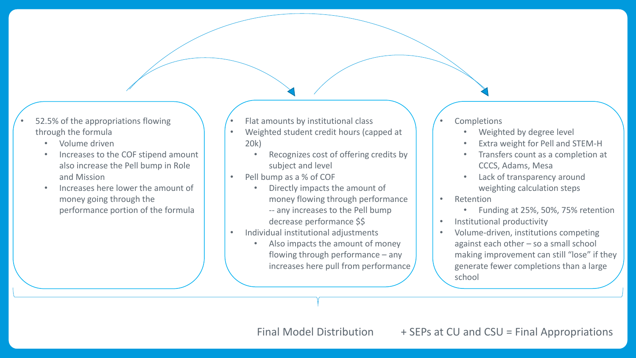- 52.5% of the appropriations flowing through the formula
	- Volume driven
	- Increases to the COF stipend amount also increase the Pell bump in Role and Mission
	- Increases here lower the amount of money going through the performance portion of the formula
- Flat amounts by institutional class
- Weighted student credit hours (capped at 20k)
	- Recognizes cost of offering credits by subject and level
- Pell bump as a % of COF
	- Directly impacts the amount of money flowing through performance -- any increases to the Pell bump decrease performance \$\$
- Individual institutional adjustments
	- Also impacts the amount of money flowing through performance – any increases here pull from performance
- **Completions** 
	- Weighted by degree level
	- Extra weight for Pell and STEM-H
	- Transfers count as a completion at CCCS, Adams, Mesa
	- Lack of transparency around weighting calculation steps
- Retention
	- Funding at 25%, 50%, 75% retention
- Institutional productivity
- Volume-driven, institutions competing against each other – so a small school making improvement can still "lose" if they generate fewer completions than a large school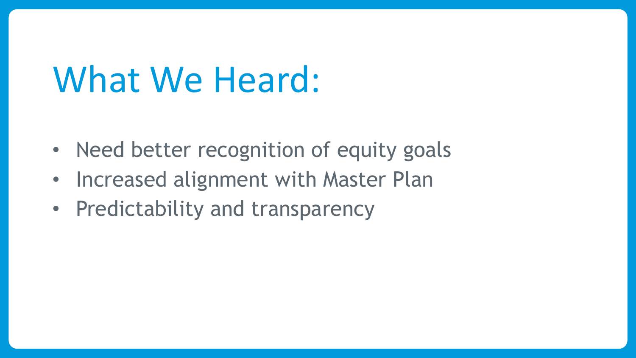### What We Heard:

- Need better recognition of equity goals
- Increased alignment with Master Plan
- Predictability and transparency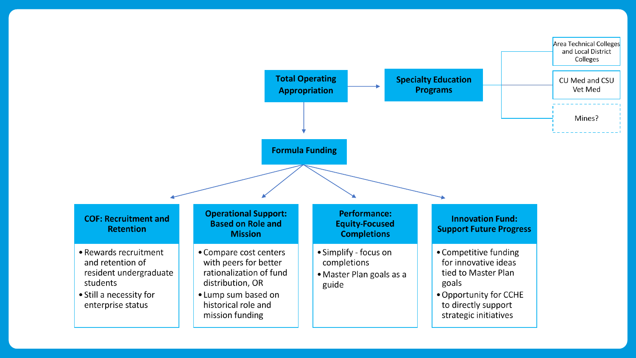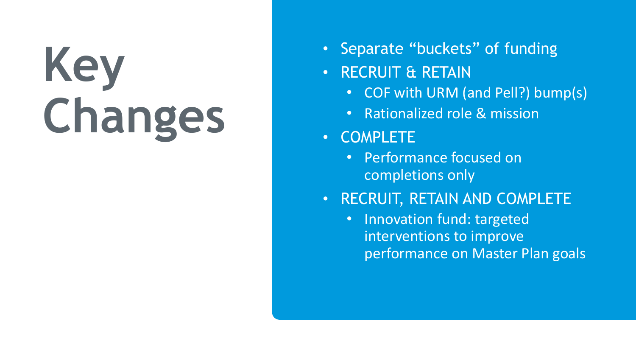# **Key Changes**

- Separate "buckets" of funding
- RECRUIT & RETAIN
	- COF with URM (and Pell?) bump(s)
	- Rationalized role & mission
- COMPLETE
	- Performance focused on completions only
- RECRUIT, RETAIN AND COMPLETE
	- Innovation fund: targeted interventions to improve performance on Master Plan goals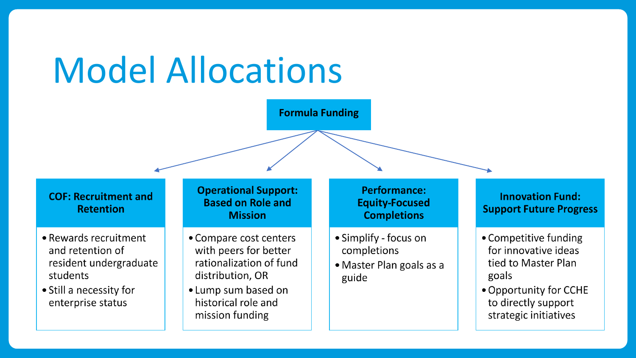### Model Allocations

**Formula Funding**

#### **COF: Recruitment and Retention**

- Rewards recruitment and retention of resident undergraduate students
- Still a necessity for enterprise status

#### **Operational Support: Based on Role and Mission**

- Compare cost centers with peers for better rationalization of fund distribution, OR
- Lump sum based on historical role and mission funding

#### **Performance: Equity-Focused Completions**

- Simplify focus on completions
- Master Plan goals as a guide

#### **Innovation Fund: Support Future Progress**

- Competitive funding for innovative ideas tied to Master Plan goals
- Opportunity for CCHE to directly support strategic initiatives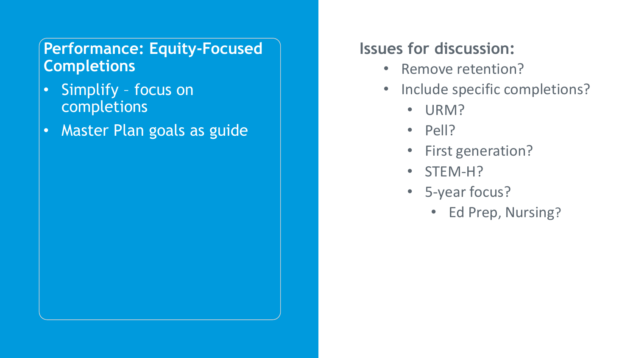#### **Performance: Equity-Focused Completions**

- Simplify focus on completions
- Master Plan goals as guide

#### **Issues for discussion:**

- Remove retention?
- Include specific completions?
	- URM?
	- Pell?
	- First generation?
	- STEM-H?
	- 5-year focus?
		- Ed Prep, Nursing?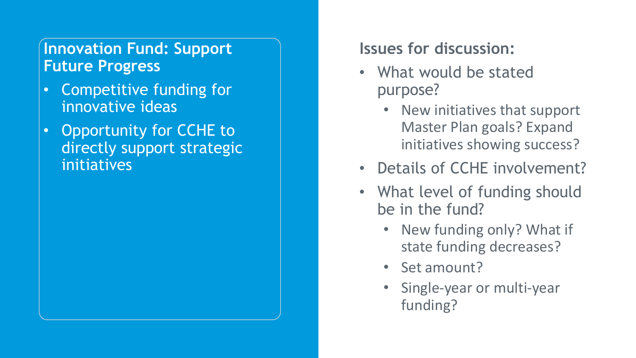#### **Innovation Fund: Support Future Progress**

- Competitive funding for innovative ideas
- Opportunity for CCHE to directly support strategic initiatives

#### **Issues for discussion:**

- What would be stated purpose?
	- New initiatives that support Master Plan goals? Expand initiatives showing success?
- Details of CCHE involvement?
- What level of funding should be in the fund?
	- New funding only? What if state funding decreases?
	- Set amount?
	- Single-year or multi-year funding?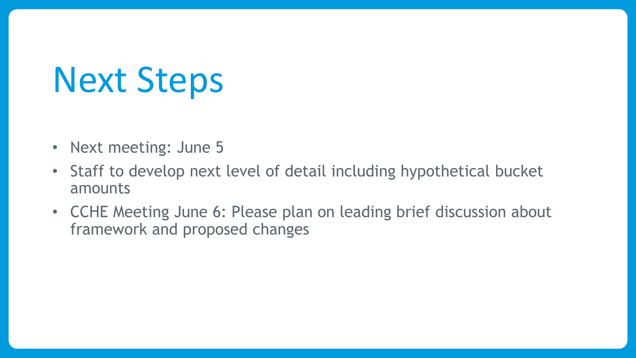### Next Steps

- Next meeting: June 5
- Staff to develop next level of detail including hypothetical bucket amounts
- CCHE Meeting June 6: Please plan on leading brief discussion about framework and proposed changes